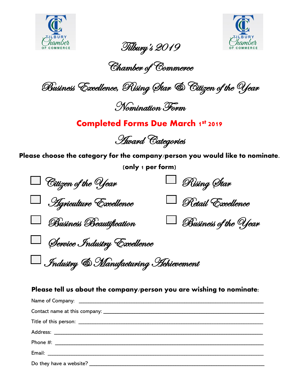



Tilbury's 2019

Chamber of Commerce

Business Excellence, Rising Star & Citizen of the Year

Nomination Form

### **Completed Forms Due March 1st 2019**

Award Categories

**Please choose the category for the company/person you would like to nominate.**

**(only 1 per form)**

| $\Box$ Citizen of the Year           | $\Box$ Rising Star          |
|--------------------------------------|-----------------------------|
| <b>Hgriculture Excellence</b>        | Retail Excellence           |
| Business Beautification              | $\Box$ Business of the Year |
| Service Industry Excellence          |                             |
| Industry & Manufacturing Hehievement |                             |

#### **Please tell us about the company/person you are wishing to nominate:**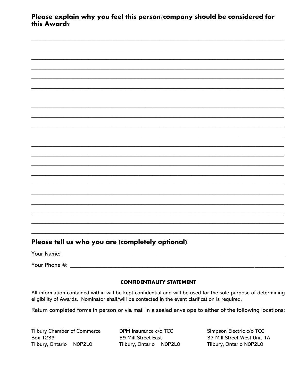Please explain why you feel this person/company should be considered for this Award?

### Please tell us who you are (completely optional)

| Your Name:    |  |  |  |
|---------------|--|--|--|
|               |  |  |  |
| Your Phone #: |  |  |  |

#### **CONFIDENTIALITY STATEMENT**

All information contained within will be kept confidential and will be used for the sole purpose of determining eligibility of Awards. Nominator shall/will be contacted in the event clarification is required.

Return completed forms in person or via mail in a sealed envelope to either of the following locations:

**Tilbury Chamber of Commerce Box 1239** Tilbury, Ontario NOP2LO

 $\mathbb{R}^2$ 

 $\sim$ 

DPM Insurance c/o TCC 59 Mill Street East Tilbury, Ontario NOP2LO Simpson Electric c/o TCC 37 Mill Street West Unit 1A Tilbury, Ontario NOP2LO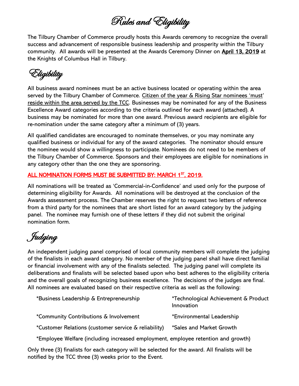Rules and Eligibility

The Tilbury Chamber of Commerce proudly hosts this Awards ceremony to recognize the overall success and advancement of responsible business leadership and prosperity within the Tilbury community. All awards will be presented at the Awards Ceremony Dinner on April 13, 2019 at the Knights of Columbus Hall in Tilbury.

Eligibility

All business award nominees must be an active business located or operating within the area served by the Tilbury Chamber of Commerce. Citizen of the year & Rising Star nominees 'must' reside within the area served by the TCC. Businesses may be nominated for any of the Business Excellence Award categories according to the criteria outlined for each award (attached). A business may be nominated for more than one award. Previous award recipients are eligible for re-nomination under the same category after a minimum of (3) years.

All qualified candidates are encouraged to nominate themselves, or you may nominate any qualified business or individual for any of the award categories. The nominator should ensure the nominee would show a willingness to participate. Nominees do not need to be members of the Tilbury Chamber of Commerce. Sponsors and their employees are eligible for nominations in any category other than the one they are sponsoring.

#### ALL NOMINATION FORMS MUST BE SUBMITTED BY: MARCH 1<sup>ST</sup>, 2019.

All nominations will be treated as 'Commercial-in-Confidence' and used only for the purpose of determining eligibility for Awards. All nominations will be destroyed at the conclusion of the Awards assessment process. The Chamber reserves the right to request two letters of reference from a third party for the nominees that are short listed for an award category by the judging panel. The nominee may furnish one of these letters if they did not submit the original nomination form.

Judging

An independent judging panel comprised of local community members will complete the judging of the finalists in each award category. No member of the judging panel shall have direct familial or financial involvement with any of the finalists selected. The judging panel will complete its deliberations and finalists will be selected based upon who best adheres to the eligibility criteria and the overall goals of recognizing business excellence. The decisions of the judges are final. All nominees are evaluated based on their respective criteria as well as the following:

| *Business Leadership & Entrepreneurship | *Technological Achievement & Product |
|-----------------------------------------|--------------------------------------|
|                                         | Innovation                           |
|                                         |                                      |

\*Community Contributions & Involvement \*Environmental Leadership

\*Customer Relations (customer service & reliability) \*Sales and Market Growth

\*Employee Welfare (including increased employment, employee retention and growth)

Only three (3) finalists for each category will be selected for the award. All finalists will be notified by the TCC three (3) weeks prior to the Event.